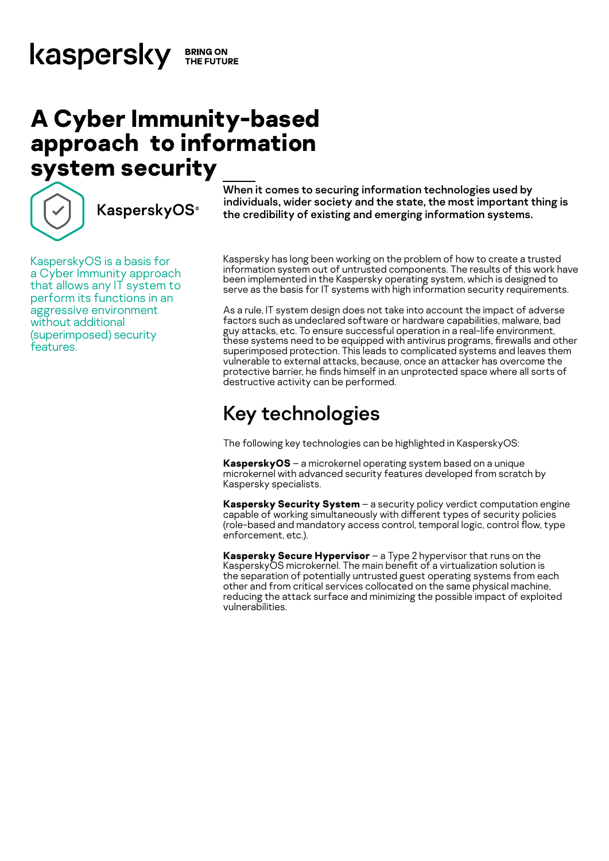# **A Cyber Immunity-based approach to information system security**



**KasperskyOS**<sup>®</sup>

KasperskyOS is a basis for a Cyber Immunity approach that allows any IT system to perform its functions in an aggressive environment without additional (superimposed) security features.

When it comes to securing information technologies used by individuals, wider society and the state, the most important thing is the credibility of existing and emerging information systems.

Kaspersky has long been working on the problem of how to create a trusted information system out of untrusted components. The results of this work have been implemented in the Kaspersky operating system, which is designed to serve as the basis for IT systems with high information security requirements.

As a rule, IT system design does not take into account the impact of adverse factors such as undeclared software or hardware capabilities, malware, bad guy attacks, etc. To ensure successful operation in a real-life environment, these systems need to be equipped with antivirus programs, firewalls and other superimposed protection. This leads to complicated systems and leaves them vulnerable to external attacks, because, once an attacker has overcome the protective barrier, he finds himself in an unprotected space where all sorts of destructive activity can be performed.

## Key technologies

The following key technologies can be highlighted in KasperskyOS:

**KasperskyOS** – a microkernel operating system based on a unique microkernel with advanced security features developed from scratch by Kaspersky specialists.

**Kaspersky Security System** – a security policy verdict computation engine capable of working simultaneously with different types of security policies (role-based and mandatory access control, temporal logic, control flow, type enforcement, etc.).

**Kaspersky Secure Hypervisor** – a Type 2 hypervisor that runs on the KasperskyOS microkernel. The main benefit of a virtualization solution is the separation of potentially untrusted guest operating systems from each other and from critical services collocated on the same physical machine, reducing the attack surface and minimizing the possible impact of exploited vulnerabilities.